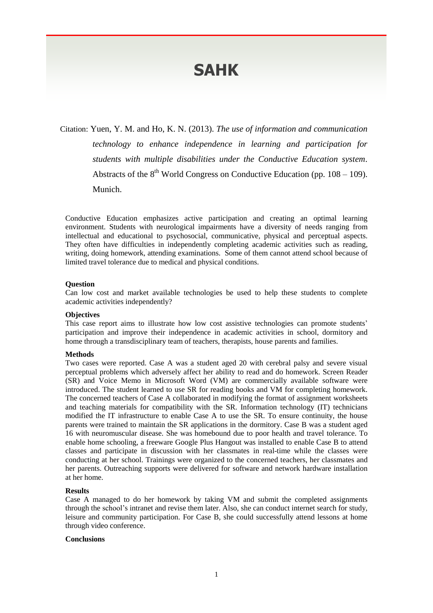# **SAHK**

Citation: Yuen, Y. M. and Ho, K. N. (2013). *The use of information and communication technology to enhance independence in learning and participation for students with multiple disabilities under the Conductive Education system*. Abstracts of the  $8<sup>th</sup>$  World Congress on Conductive Education (pp. 108 – 109). Munich.

Conductive Education emphasizes active participation and creating an optimal learning environment. Students with neurological impairments have a diversity of needs ranging from intellectual and educational to psychosocial, communicative, physical and perceptual aspects. They often have difficulties in independently completing academic activities such as reading, writing, doing homework, attending examinations. Some of them cannot attend school because of limited travel tolerance due to medical and physical conditions.

## **Question**

Can low cost and market available technologies be used to help these students to complete academic activities independently?

### **Objectives**

This case report aims to illustrate how low cost assistive technologies can promote students' participation and improve their independence in academic activities in school, dormitory and home through a transdisciplinary team of teachers, therapists, house parents and families.

#### **Methods**

Two cases were reported. Case A was a student aged 20 with cerebral palsy and severe visual perceptual problems which adversely affect her ability to read and do homework. Screen Reader (SR) and Voice Memo in Microsoft Word (VM) are commercially available software were introduced. The student learned to use SR for reading books and VM for completing homework. The concerned teachers of Case A collaborated in modifying the format of assignment worksheets and teaching materials for compatibility with the SR. Information technology (IT) technicians modified the IT infrastructure to enable Case A to use the SR. To ensure continuity, the house parents were trained to maintain the SR applications in the dormitory. Case B was a student aged 16 with neuromuscular disease. She was homebound due to poor health and travel tolerance. To enable home schooling, a freeware Google Plus Hangout was installed to enable Case B to attend classes and participate in discussion with her classmates in real-time while the classes were conducting at her school. Trainings were organized to the concerned teachers, her classmates and her parents. Outreaching supports were delivered for software and network hardware installation at her home.

#### **Results**

Case A managed to do her homework by taking VM and submit the completed assignments through the school's intranet and revise them later. Also, she can conduct internet search for study, leisure and community participation. For Case B, she could successfully attend lessons at home through video conference.

#### **Conclusions**